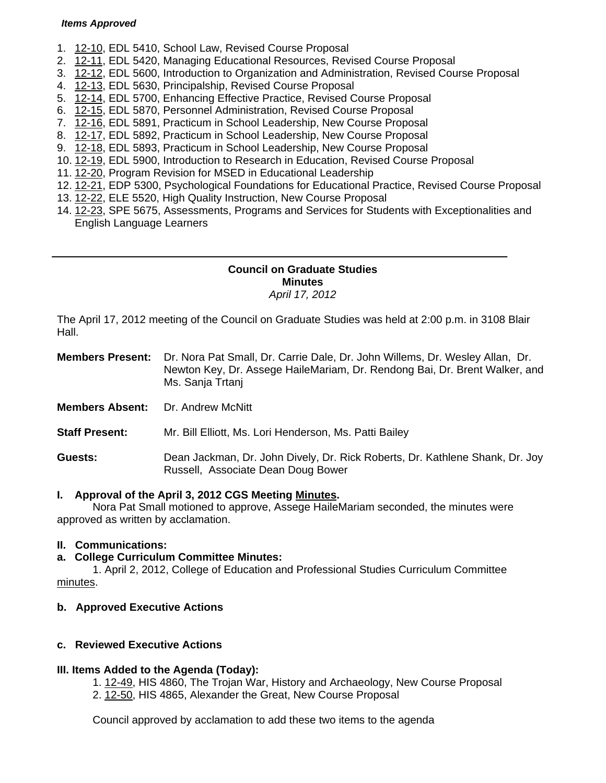#### *Items Approved*

- 1. [12-10, E](http://castle.eiu.edu/~eiucgs/currentagendaitems/agenda12-10.pdf)DL 5410, School Law, Revised Course Proposal
- 2. [12-11,](http://castle.eiu.edu/~eiucgs/currentagendaitems/agenda12-11.pdf) EDL 5420, Managing Educational Resources, Revised Course Proposal
- 3. [12-12, E](http://castle.eiu.edu/~eiucgs/currentagendaitems/agenda12-12.pdf)DL 5600, Introduction to Organization and Administration, Revised Course Proposal
- 4. [12-13, E](http://castle.eiu.edu/~eiucgs/currentagendaitems/agenda12-13.pdf)DL 5630, Principalship, Revised Course Proposal
- 5. [12-14, E](http://castle.eiu.edu/~eiucgs/currentagendaitems/agenda12-14.pdf)DL 5700, Enhancing Effective Practice, Revised Course Proposal
- 6. [12-15, E](http://castle.eiu.edu/~eiucgs/currentagendaitems/agenda12-15.pdf)DL 5870, Personnel Administration, Revised Course Proposal
- 7. [12-16, E](http://castle.eiu.edu/~eiucgs/currentagendaitems/agenda12-16.pdf)DL 5891, Practicum in School Leadership, New Course Proposal
- 8. [12-17, E](http://castle.eiu.edu/~eiucgs/currentagendaitems/agenda12-17.pdf)DL 5892, Practicum in School Leadership, New Course Proposal
- 9. [12-18, E](http://castle.eiu.edu/~eiucgs/currentagendaitems/agenda12-18.pdf)DL 5893, Practicum in School Leadership, New Course Proposal
- 10. [12-19, E](http://castle.eiu.edu/~eiucgs/currentagendaitems/agenda12-19.pdf)DL 5900, Introduction to Research in Education, Revised Course Proposal
- 11. [12-20, Pr](http://castle.eiu.edu/~eiucgs/currentagendaitems/agenda12-20.pdf)ogram Revision for MSED in Educational Leadership
- 12. [12-21,](http://castle.eiu.edu/~eiucgs/currentagendaitems/agenda12-21.pdf) EDP 5300, Psychological Foundations for Educational Practice, Revised Course Proposal
- 13. [12-22,](http://castle.eiu.edu/~eiucgs/currentagendaitems/agenda12-22.pdf) ELE 5520, High Quality Instruction, New Course Proposal
- 14. [12-23,](http://castle.eiu.edu/~eiucgs/currentagendaitems/agenda12-23.pdf) SPE 5675, Assessments, Programs and Services for Students with Exceptionalities and English Language Learners

#### **Council on Graduate Studies Minutes**  *April 17, 2012*

The April 17, 2012 meeting of the Council on Graduate Studies was held at 2:00 p.m. in 3108 Blair Hall.

| <b>Members Present:</b> | Dr. Nora Pat Small, Dr. Carrie Dale, Dr. John Willems, Dr. Wesley Allan, Dr.<br>Newton Key, Dr. Assege HaileMariam, Dr. Rendong Bai, Dr. Brent Walker, and<br>Ms. Sanja Trtani |
|-------------------------|--------------------------------------------------------------------------------------------------------------------------------------------------------------------------------|
| .                       | $\blacksquare$                                                                                                                                                                 |

**Members Absent:** Dr. Andrew McNitt

**Staff Present:** Mr. Bill Elliott, Ms. Lori Henderson, Ms. Patti Bailey

**Guests:** Dean Jackman, Dr. John Dively, Dr. Rick Roberts, Dr. Kathlene Shank, Dr. Joy Russell, Associate Dean Doug Bower

## **I. Approval of the April 3, 2012 CGS Meetin[g Minutes.](http://castle.eiu.edu/eiucgs/currentminutes/Minutes4-3-12.pdf)**

 Nora Pat Small motioned to approve, Assege HaileMariam seconded, the minutes were approved as written by acclamation.

## **II. Communications:**

## **a. College Curriculum Committee Minutes:**

 1. April 2, 2012, College of Education and Professional Studies Curriculum Committee [minutes.](http://castle.eiu.edu/~eiucgs/currentagendaitems/CEPSMin4-2-12.pdf) 

## **b. Approved Executive Actions**

## **c. Reviewed Executive Actions**

#### **III. Items Added to the Agenda (Today):**

- [1. 12-49, H](http://castle.eiu.edu/~eiucgs/currentagendaitems/agenda12-49.pdf)IS 4860, The Trojan War, History and Archaeology, New Course Proposal
- 2. [12-50, H](http://castle.eiu.edu/~eiucgs/currentagendaitems/agenda12-50.pdf)IS 4865, Alexander the Great, New Course Proposal

Council approved by acclamation to add these two items to the agenda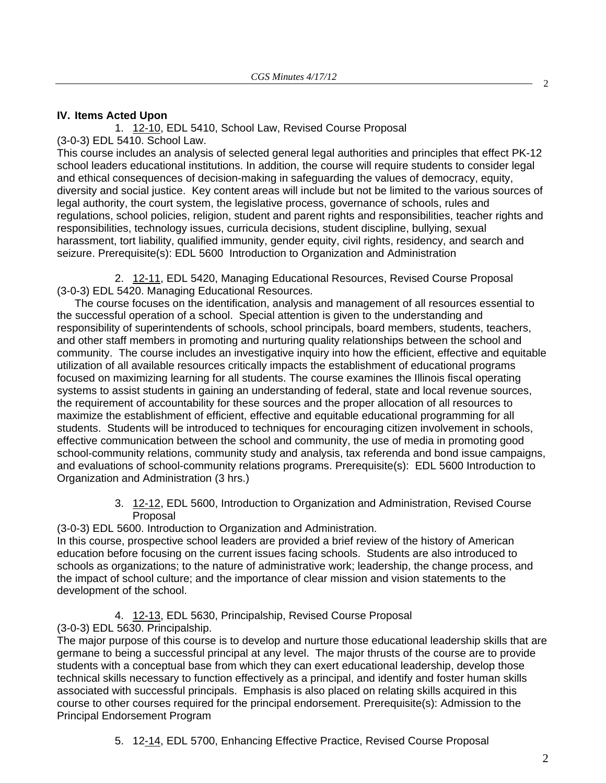## **IV. Items Acted Upon**

[1. 12-10, E](http://castle.eiu.edu/~eiucgs/currentagendaitems/agenda12-10.pdf)DL 5410, School Law, Revised Course Proposal (3-0-3) EDL 5410. School Law.

This course includes an analysis of selected general legal authorities and principles that effect PK-12 school leaders educational institutions. In addition, the course will require students to consider legal and ethical consequences of decision-making in safeguarding the values of democracy, equity, diversity and social justice. Key content areas will include but not be limited to the various sources of legal authority, the court system, the legislative process, governance of schools, rules and regulations, school policies, religion, student and parent rights and responsibilities, teacher rights and responsibilities, technology issues, curricula decisions, student discipline, bullying, sexual harassment, tort liability, qualified immunity, gender equity, civil rights, residency, and search and seizure. Prerequisite(s): EDL 5600 Introduction to Organization and Administration

2. [12-11, E](http://castle.eiu.edu/~eiucgs/currentagendaitems/agenda12-11.pdf)DL 5420, Managing Educational Resources, Revised Course Proposal (3-0-3) EDL 5420. Managing Educational Resources.

The course focuses on the identification, analysis and management of all resources essential to the successful operation of a school. Special attention is given to the understanding and responsibility of superintendents of schools, school principals, board members, students, teachers, and other staff members in promoting and nurturing quality relationships between the school and community. The course includes an investigative inquiry into how the efficient, effective and equitable utilization of all available resources critically impacts the establishment of educational programs focused on maximizing learning for all students. The course examines the Illinois fiscal operating systems to assist students in gaining an understanding of federal, state and local revenue sources, the requirement of accountability for these sources and the proper allocation of all resources to maximize the establishment of efficient, effective and equitable educational programming for all students. Students will be introduced to techniques for encouraging citizen involvement in schools, effective communication between the school and community, the use of media in promoting good school-community relations, community study and analysis, tax referenda and bond issue campaigns, and evaluations of school-community relations programs. Prerequisite(s): EDL 5600 Introduction to Organization and Administration (3 hrs.)

> 3. [12-12, E](http://castle.eiu.edu/~eiucgs/currentagendaitems/agenda12-12.pdf)DL 5600, Introduction to Organization and Administration, Revised Course Proposal

(3-0-3) EDL 5600. Introduction to Organization and Administration. In this course, prospective school leaders are provided a brief review of the history of American

education before focusing on the current issues facing schools. Students are also introduced to schools as organizations; to the nature of administrative work; leadership, the change process, and the impact of school culture; and the importance of clear mission and vision statements to the development of the school.

4. [12-13](http://castle.eiu.edu/~eiucgs/currentagendaitems/agenda12-13.pdf), EDL 5630, Principalship, Revised Course Proposal (3-0-3) EDL 5630. Principalship.

The major purpose of this course is to develop and nurture those educational leadership skills that are germane to being a successful principal at any level. The major thrusts of the course are to provide students with a conceptual base from which they can exert educational leadership, develop those technical skills necessary to function effectively as a principal, and identify and foster human skills associated with successful principals. Emphasis is also placed on relating skills acquired in this course to other courses required for the principal endorsement. Prerequisite(s): Admission to the Principal Endorsement Program

5. [12-14, E](http://castle.eiu.edu/~eiucgs/currentagendaitems/agenda12-14.pdf)DL 5700, Enhancing Effective Practice, Revised Course Proposal

2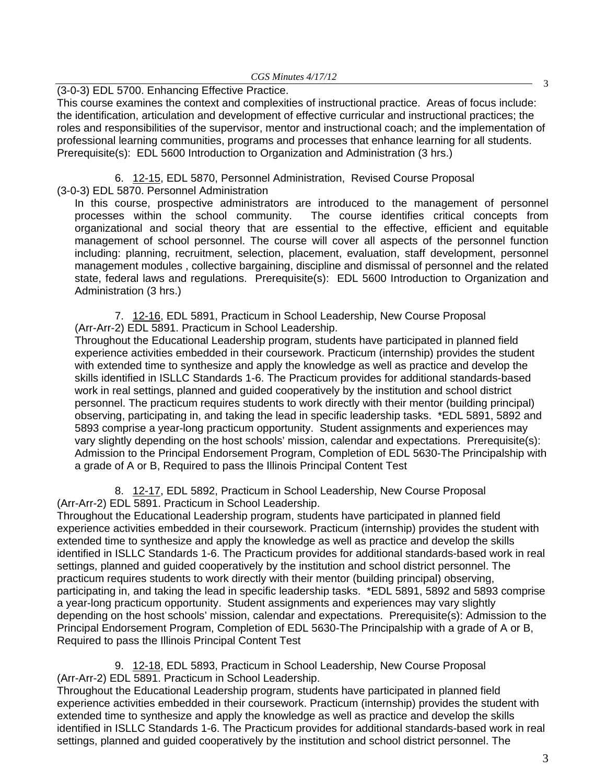# (3-0-3) EDL 5700. Enhancing Effective Practice.

This course examines the context and complexities of instructional practice. Areas of focus include: the identification, articulation and development of effective curricular and instructional practices; the roles and responsibilities of the supervisor, mentor and instructional coach; and the implementation of professional learning communities, programs and processes that enhance learning for all students. Prerequisite(s): EDL 5600 Introduction to Organization and Administration (3 hrs.)

6. [12-15, E](http://castle.eiu.edu/~eiucgs/currentagendaitems/agenda12-15.pdf)DL 5870, Personnel Administration, Revised Course Proposal (3-0-3) EDL 5870. Personnel Administration

In this course, prospective administrators are introduced to the management of personnel processes within the school community. The course identifies critical concepts from organizational and social theory that are essential to the effective, efficient and equitable management of school personnel. The course will cover all aspects of the personnel function including: planning, recruitment, selection, placement, evaluation, staff development, personnel management modules , collective bargaining, discipline and dismissal of personnel and the related state, federal laws and regulations. Prerequisite(s): EDL 5600 Introduction to Organization and Administration (3 hrs.)

[7. 12-16,](http://castle.eiu.edu/~eiucgs/currentagendaitems/agenda12-16.pdf) EDL 5891, Practicum in School Leadership, New Course Proposal (Arr-Arr-2) EDL 5891. Practicum in School Leadership.

Throughout the Educational Leadership program, students have participated in planned field experience activities embedded in their coursework. Practicum (internship) provides the student with extended time to synthesize and apply the knowledge as well as practice and develop the skills identified in ISLLC Standards 1-6. The Practicum provides for additional standards-based work in real settings, planned and guided cooperatively by the institution and school district personnel. The practicum requires students to work directly with their mentor (building principal) observing, participating in, and taking the lead in specific leadership tasks. \*EDL 5891, 5892 and 5893 comprise a year-long practicum opportunity. Student assignments and experiences may vary slightly depending on the host schools' mission, calendar and expectations. Prerequisite(s): Admission to the Principal Endorsement Program, Completion of EDL 5630-The Principalship with a grade of A or B, Required to pass the Illinois Principal Content Test

[8. 12-17, E](http://castle.eiu.edu/~eiucgs/currentagendaitems/agenda12-17.pdf)DL 5892, Practicum in School Leadership, New Course Proposal (Arr-Arr-2) EDL 5891. Practicum in School Leadership.

Throughout the Educational Leadership program, students have participated in planned field experience activities embedded in their coursework. Practicum (internship) provides the student with extended time to synthesize and apply the knowledge as well as practice and develop the skills identified in ISLLC Standards 1-6. The Practicum provides for additional standards-based work in real settings, planned and guided cooperatively by the institution and school district personnel. The practicum requires students to work directly with their mentor (building principal) observing, participating in, and taking the lead in specific leadership tasks. \*EDL 5891, 5892 and 5893 comprise a year-long practicum opportunity. Student assignments and experiences may vary slightly depending on the host schools' mission, calendar and expectations. Prerequisite(s): Admission to the Principal Endorsement Program, Completion of EDL 5630-The Principalship with a grade of A or B, Required to pass the Illinois Principal Content Test

9. [12-18, EDL 5893](http://castle.eiu.edu/~eiucgs/currentagendaitems/agenda12-18.pdf), Practicum in School Leadership, New Course Proposal (Arr-Arr-2) EDL 5891. Practicum in School Leadership.

Throughout the Educational Leadership program, students have participated in planned field experience activities embedded in their coursework. Practicum (internship) provides the student with extended time to synthesize and apply the knowledge as well as practice and develop the skills identified in ISLLC Standards 1-6. The Practicum provides for additional standards-based work in real settings, planned and guided cooperatively by the institution and school district personnel. The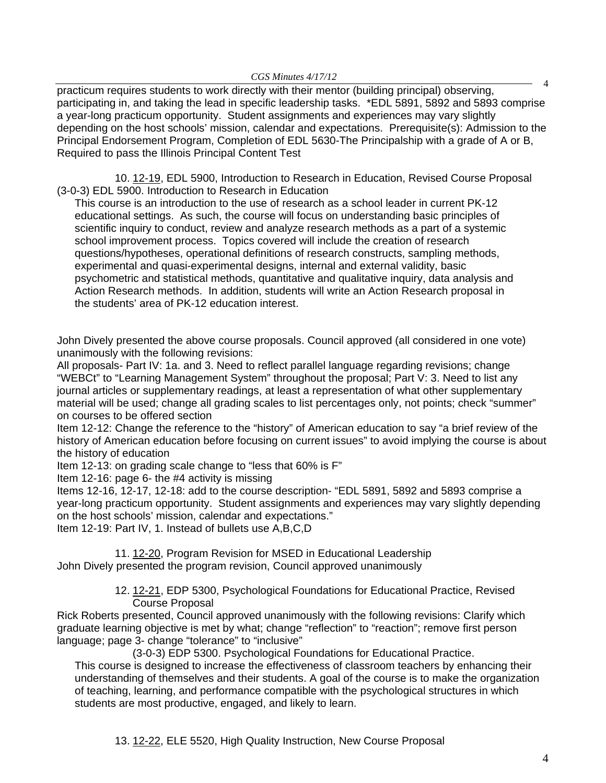practicum requires students to work directly with their mentor (building principal) observing, participating in, and taking the lead in specific leadership tasks. \*EDL 5891, 5892 and 5893 comprise a year-long practicum opportunity. Student assignments and experiences may vary slightly depending on the host schools' mission, calendar and expectations. Prerequisite(s): Admission to the Principal Endorsement Program, Completion of EDL 5630-The Principalship with a grade of A or B, Required to pass the Illinois Principal Content Test

10[. 12-19, ED](http://castle.eiu.edu/~eiucgs/currentagendaitems/agenda12-19.pdf)L 5900, Introduction to Research in Education, Revised Course Proposal (3-0-3) EDL 5900. Introduction to Research in Education

This course is an introduction to the use of research as a school leader in current PK-12 educational settings. As such, the course will focus on understanding basic principles of scientific inquiry to conduct, review and analyze research methods as a part of a systemic school improvement process. Topics covered will include the creation of research questions/hypotheses, operational definitions of research constructs, sampling methods, experimental and quasi-experimental designs, internal and external validity, basic psychometric and statistical methods, quantitative and qualitative inquiry, data analysis and Action Research methods. In addition, students will write an Action Research proposal in the students' area of PK-12 education interest.

John Dively presented the above course proposals. Council approved (all considered in one vote) unanimously with the following revisions:

All proposals- Part IV: 1a. and 3. Need to reflect parallel language regarding revisions; change "WEBCt" to "Learning Management System" throughout the proposal; Part V: 3. Need to list any journal articles or supplementary readings, at least a representation of what other supplementary material will be used; change all grading scales to list percentages only, not points; check "summer" on courses to be offered section

Item 12-12: Change the reference to the "history" of American education to say "a brief review of the history of American education before focusing on current issues" to avoid implying the course is about the history of education

Item 12-13: on grading scale change to "less that 60% is F"

Item 12-16: page 6- the #4 activity is missing

Items 12-16, 12-17, 12-18: add to the course description- "EDL 5891, 5892 and 5893 comprise a year-long practicum opportunity. Student assignments and experiences may vary slightly depending on the host schools' mission, calendar and expectations."

Item 12-19: Part IV, 1. Instead of bullets use A,B,C,D

11[. 12-20, P](http://castle.eiu.edu/~eiucgs/currentagendaitems/agenda12-20.pdf)rogram Revision for MSED in Educational Leadership John Dively presented the program revision, Council approved unanimously

> 12. [12-21,](http://castle.eiu.edu/~eiucgs/currentagendaitems/agenda12-21.pdf) EDP 5300, Psychological Foundations for Educational Practice, Revised Course Proposal

Rick Roberts presented, Council approved unanimously with the following revisions: Clarify which graduate learning objective is met by what; change "reflection" to "reaction"; remove first person language; page 3- change "tolerance" to "inclusive"

(3-0-3) EDP 5300. Psychological Foundations for Educational Practice.

This course is designed to increase the effectiveness of classroom teachers by enhancing their understanding of themselves and their students. A goal of the course is to make the organization of teaching, learning, and performance compatible with the psychological structures in which students are most productive, engaged, and likely to learn.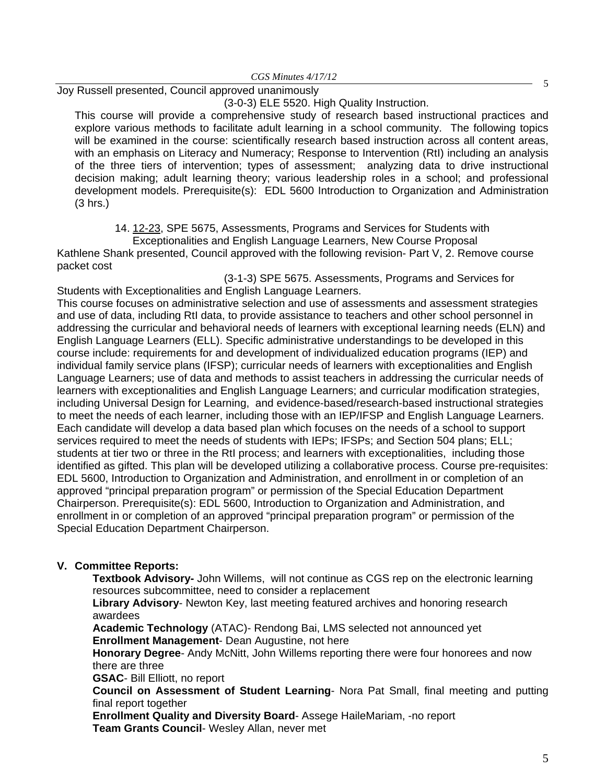For *Himala + 17712*<br>Joy Russell presented, Council approved unanimously

(3-0-3) ELE 5520. High Quality Instruction.

This course will provide a comprehensive study of research based instructional practices and explore various methods to facilitate adult learning in a school community. The following topics will be examined in the course: scientifically research based instruction across all content areas, with an emphasis on Literacy and Numeracy; Response to Intervention (RtI) including an analysis of the three tiers of intervention; types of assessment; analyzing data to drive instructional decision making; adult learning theory; various leadership roles in a school; and professional development models. Prerequisite(s): EDL 5600 Introduction to Organization and Administration (3 hrs.)

14. [12-23, S](http://castle.eiu.edu/~eiucgs/currentagendaitems/agenda12-23.pdf)PE 5675, Assessments, Programs and Services for Students with

Exceptionalities and English Language Learners, New Course Proposal Kathlene Shank presented, Council approved with the following revision- Part V, 2. Remove course packet cost

 (3-1-3) SPE 5675. Assessments, Programs and Services for Students with Exceptionalities and English Language Learners.

This course focuses on administrative selection and use of assessments and assessment strategies and use of data, including RtI data, to provide assistance to teachers and other school personnel in addressing the curricular and behavioral needs of learners with exceptional learning needs (ELN) and English Language Learners (ELL). Specific administrative understandings to be developed in this course include: requirements for and development of individualized education programs (IEP) and individual family service plans (IFSP); curricular needs of learners with exceptionalities and English Language Learners; use of data and methods to assist teachers in addressing the curricular needs of learners with exceptionalities and English Language Learners; and curricular modification strategies, including Universal Design for Learning, and evidence-based/research-based instructional strategies to meet the needs of each learner, including those with an IEP/IFSP and English Language Learners. Each candidate will develop a data based plan which focuses on the needs of a school to support services required to meet the needs of students with IEPs; IFSPs; and Section 504 plans; ELL; students at tier two or three in the RtI process; and learners with exceptionalities, including those identified as gifted. This plan will be developed utilizing a collaborative process. Course pre-requisites: EDL 5600, Introduction to Organization and Administration, and enrollment in or completion of an approved "principal preparation program" or permission of the Special Education Department Chairperson. Prerequisite(s): EDL 5600, Introduction to Organization and Administration, and enrollment in or completion of an approved "principal preparation program" or permission of the Special Education Department Chairperson.

# **V. Committee Reports:**

**Textbook Advisory-** John Willems, will not continue as CGS rep on the electronic learning resources subcommittee, need to consider a replacement

**Library Advisory**- Newton Key, last meeting featured archives and honoring research awardees

**Academic Technology** (ATAC)- Rendong Bai, LMS selected not announced yet **Enrollment Management**- Dean Augustine, not here

**Honorary Degree**- Andy McNitt, John Willems reporting there were four honorees and now there are three

**GSAC**- Bill Elliott, no report

 **Council on Assessment of Student Learning**- Nora Pat Small, final meeting and putting final report together

 **Enrollment Quality and Diversity Board**- Assege HaileMariam, -no report  **Team Grants Council**- Wesley Allan, never met